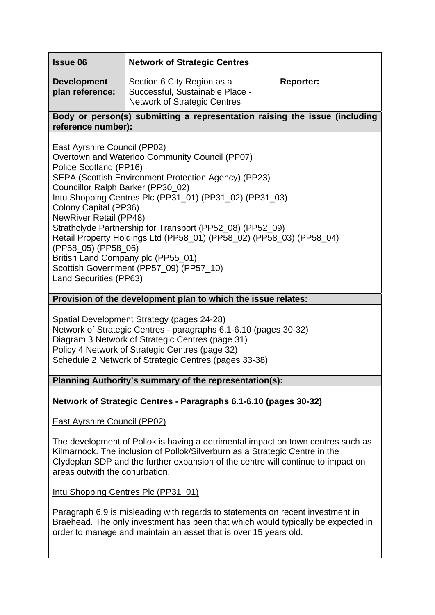| <b>Issue 06</b>                                                                                                                                                                                                                                                                                                                                                                                                                                                                                                                                                                                          | <b>Network of Strategic Centres</b>                                                                  |                  |
|----------------------------------------------------------------------------------------------------------------------------------------------------------------------------------------------------------------------------------------------------------------------------------------------------------------------------------------------------------------------------------------------------------------------------------------------------------------------------------------------------------------------------------------------------------------------------------------------------------|------------------------------------------------------------------------------------------------------|------------------|
| <b>Development</b><br>plan reference:                                                                                                                                                                                                                                                                                                                                                                                                                                                                                                                                                                    | Section 6 City Region as a<br>Successful, Sustainable Place -<br><b>Network of Strategic Centres</b> | <b>Reporter:</b> |
| Body or person(s) submitting a representation raising the issue (including<br>reference number):                                                                                                                                                                                                                                                                                                                                                                                                                                                                                                         |                                                                                                      |                  |
| East Ayrshire Council (PP02)<br>Overtown and Waterloo Community Council (PP07)<br>Police Scotland (PP16)<br>SEPA (Scottish Environment Protection Agency) (PP23)<br>Councillor Ralph Barker (PP30_02)<br>Intu Shopping Centres Plc (PP31_01) (PP31_02) (PP31_03)<br>Colony Capital (PP36)<br><b>NewRiver Retail (PP48)</b><br>Strathclyde Partnership for Transport (PP52_08) (PP52_09)<br>Retail Property Holdings Ltd (PP58_01) (PP58_02) (PP58_03) (PP58_04)<br>(PP58_05) (PP58_06)<br>British Land Company plc (PP55_01)<br>Scottish Government (PP57_09) (PP57_10)<br><b>Land Securities (PP63)</b> |                                                                                                      |                  |

# **Provision of the development plan to which the issue relates:**

Spatial Development Strategy (pages 24-28) Network of Strategic Centres - paragraphs 6.1-6.10 (pages 30-32) Diagram 3 Network of Strategic Centres (page 31) Policy 4 Network of Strategic Centres (page 32) Schedule 2 Network of Strategic Centres (pages 33-38)

**Planning Authority's summary of the representation(s):** 

**Network of Strategic Centres - Paragraphs 6.1-6.10 (pages 30-32)** 

East Ayrshire Council (PP02)

The development of Pollok is having a detrimental impact on town centres such as Kilmarnock. The inclusion of Pollok/Silverburn as a Strategic Centre in the Clydeplan SDP and the further expansion of the centre will continue to impact on areas outwith the conurbation.

Intu Shopping Centres Plc (PP31\_01)

Paragraph 6.9 is misleading with regards to statements on recent investment in Braehead. The only investment has been that which would typically be expected in order to manage and maintain an asset that is over 15 years old.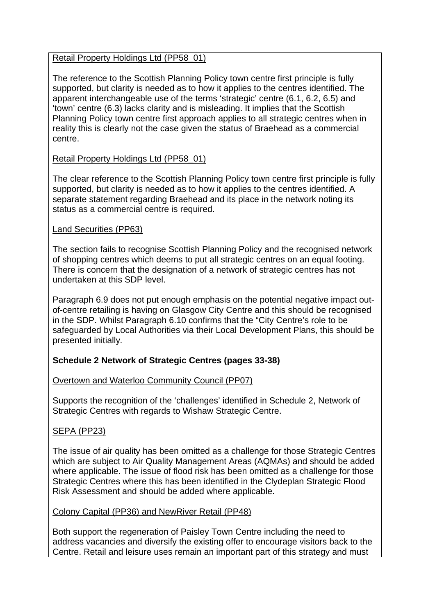## Retail Property Holdings Ltd (PP58\_01)

The reference to the Scottish Planning Policy town centre first principle is fully supported, but clarity is needed as to how it applies to the centres identified. The apparent interchangeable use of the terms 'strategic' centre (6.1, 6.2, 6.5) and 'town' centre (6.3) lacks clarity and is misleading. It implies that the Scottish Planning Policy town centre first approach applies to all strategic centres when in reality this is clearly not the case given the status of Braehead as a commercial centre.

# Retail Property Holdings Ltd (PP58\_01)

The clear reference to the Scottish Planning Policy town centre first principle is fully supported, but clarity is needed as to how it applies to the centres identified. A separate statement regarding Braehead and its place in the network noting its status as a commercial centre is required.

## Land Securities (PP63)

The section fails to recognise Scottish Planning Policy and the recognised network of shopping centres which deems to put all strategic centres on an equal footing. There is concern that the designation of a network of strategic centres has not undertaken at this SDP level.

Paragraph 6.9 does not put enough emphasis on the potential negative impact outof-centre retailing is having on Glasgow City Centre and this should be recognised in the SDP. Whilst Paragraph 6.10 confirms that the "City Centre's role to be safeguarded by Local Authorities via their Local Development Plans, this should be presented initially*.*

# **Schedule 2 Network of Strategic Centres (pages 33-38)**

# Overtown and Waterloo Community Council (PP07)

Supports the recognition of the 'challenges' identified in Schedule 2, Network of Strategic Centres with regards to Wishaw Strategic Centre.

# SEPA (PP23)

The issue of air quality has been omitted as a challenge for those Strategic Centres which are subject to Air Quality Management Areas (AQMAs) and should be added where applicable. The issue of flood risk has been omitted as a challenge for those Strategic Centres where this has been identified in the Clydeplan Strategic Flood Risk Assessment and should be added where applicable.

## Colony Capital (PP36) and NewRiver Retail (PP48)

Both support the regeneration of Paisley Town Centre including the need to address vacancies and diversify the existing offer to encourage visitors back to the Centre. Retail and leisure uses remain an important part of this strategy and must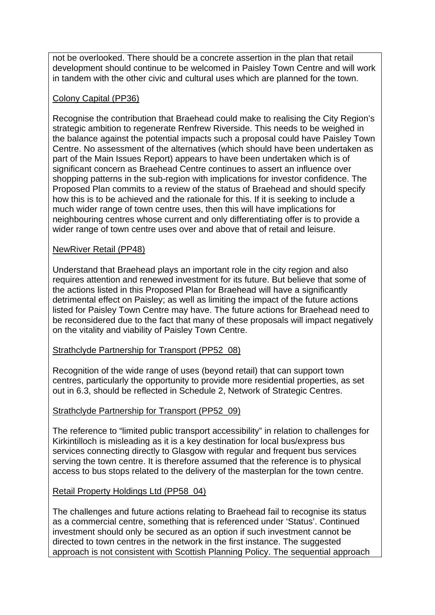not be overlooked. There should be a concrete assertion in the plan that retail development should continue to be welcomed in Paisley Town Centre and will work in tandem with the other civic and cultural uses which are planned for the town.

## Colony Capital (PP36)

Recognise the contribution that Braehead could make to realising the City Region's strategic ambition to regenerate Renfrew Riverside. This needs to be weighed in the balance against the potential impacts such a proposal could have Paisley Town Centre. No assessment of the alternatives (which should have been undertaken as part of the Main Issues Report) appears to have been undertaken which is of significant concern as Braehead Centre continues to assert an influence over shopping patterns in the sub-region with implications for investor confidence. The Proposed Plan commits to a review of the status of Braehead and should specify how this is to be achieved and the rationale for this. If it is seeking to include a much wider range of town centre uses, then this will have implications for neighbouring centres whose current and only differentiating offer is to provide a wider range of town centre uses over and above that of retail and leisure.

## NewRiver Retail (PP48)

Understand that Braehead plays an important role in the city region and also requires attention and renewed investment for its future. But believe that some of the actions listed in this Proposed Plan for Braehead will have a significantly detrimental effect on Paisley; as well as limiting the impact of the future actions listed for Paisley Town Centre may have. The future actions for Braehead need to be reconsidered due to the fact that many of these proposals will impact negatively on the vitality and viability of Paisley Town Centre.

## Strathclyde Partnership for Transport (PP52\_08)

Recognition of the wide range of uses (beyond retail) that can support town centres, particularly the opportunity to provide more residential properties, as set out in 6.3, should be reflected in Schedule 2, Network of Strategic Centres.

## Strathclyde Partnership for Transport (PP52\_09)

The reference to "limited public transport accessibility" in relation to challenges for Kirkintilloch is misleading as it is a key destination for local bus/express bus services connecting directly to Glasgow with regular and frequent bus services serving the town centre. It is therefore assumed that the reference is to physical access to bus stops related to the delivery of the masterplan for the town centre.

## Retail Property Holdings Ltd (PP58\_04)

The challenges and future actions relating to Braehead fail to recognise its status as a commercial centre, something that is referenced under 'Status'. Continued investment should only be secured as an option if such investment cannot be directed to town centres in the network in the first instance. The suggested approach is not consistent with Scottish Planning Policy. The sequential approach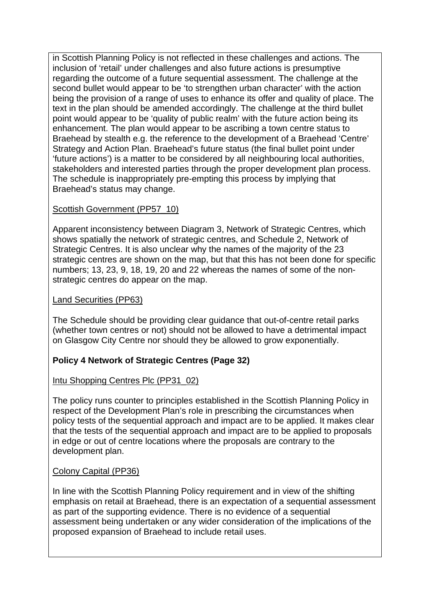in Scottish Planning Policy is not reflected in these challenges and actions. The inclusion of 'retail' under challenges and also future actions is presumptive regarding the outcome of a future sequential assessment. The challenge at the second bullet would appear to be 'to strengthen urban character' with the action being the provision of a range of uses to enhance its offer and quality of place. The text in the plan should be amended accordingly. The challenge at the third bullet point would appear to be 'quality of public realm' with the future action being its enhancement. The plan would appear to be ascribing a town centre status to Braehead by stealth e.g. the reference to the development of a Braehead 'Centre' Strategy and Action Plan. Braehead's future status (the final bullet point under 'future actions') is a matter to be considered by all neighbouring local authorities, stakeholders and interested parties through the proper development plan process. The schedule is inappropriately pre-empting this process by implying that Braehead's status may change.

## Scottish Government (PP57\_10)

Apparent inconsistency between Diagram 3, Network of Strategic Centres, which shows spatially the network of strategic centres, and Schedule 2, Network of Strategic Centres. It is also unclear why the names of the majority of the 23 strategic centres are shown on the map, but that this has not been done for specific numbers; 13, 23, 9, 18, 19, 20 and 22 whereas the names of some of the nonstrategic centres do appear on the map.

## Land Securities (PP63)

The Schedule should be providing clear guidance that out-of-centre retail parks (whether town centres or not) should not be allowed to have a detrimental impact on Glasgow City Centre nor should they be allowed to grow exponentially.

# **Policy 4 Network of Strategic Centres (Page 32)**

# Intu Shopping Centres Plc (PP31\_02)

The policy runs counter to principles established in the Scottish Planning Policy in respect of the Development Plan's role in prescribing the circumstances when policy tests of the sequential approach and impact are to be applied. It makes clear that the tests of the sequential approach and impact are to be applied to proposals in edge or out of centre locations where the proposals are contrary to the development plan.

## Colony Capital (PP36)

In line with the Scottish Planning Policy requirement and in view of the shifting emphasis on retail at Braehead, there is an expectation of a sequential assessment as part of the supporting evidence. There is no evidence of a sequential assessment being undertaken or any wider consideration of the implications of the proposed expansion of Braehead to include retail uses.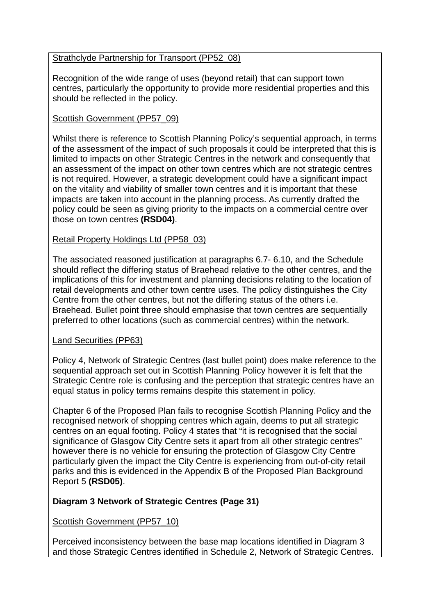## Strathclyde Partnership for Transport (PP52\_08)

Recognition of the wide range of uses (beyond retail) that can support town centres, particularly the opportunity to provide more residential properties and this should be reflected in the policy.

## Scottish Government (PP57\_09)

Whilst there is reference to Scottish Planning Policy's sequential approach, in terms of the assessment of the impact of such proposals it could be interpreted that this is limited to impacts on other Strategic Centres in the network and consequently that an assessment of the impact on other town centres which are not strategic centres is not required. However, a strategic development could have a significant impact on the vitality and viability of smaller town centres and it is important that these impacts are taken into account in the planning process. As currently drafted the policy could be seen as giving priority to the impacts on a commercial centre over those on town centres **(RSD04)**.

## Retail Property Holdings Ltd (PP58\_03)

The associated reasoned justification at paragraphs 6.7- 6.10, and the Schedule should reflect the differing status of Braehead relative to the other centres, and the implications of this for investment and planning decisions relating to the location of retail developments and other town centre uses. The policy distinguishes the City Centre from the other centres, but not the differing status of the others i.e. Braehead. Bullet point three should emphasise that town centres are sequentially preferred to other locations (such as commercial centres) within the network.

## Land Securities (PP63)

Policy 4, Network of Strategic Centres (last bullet point) does make reference to the sequential approach set out in Scottish Planning Policy however it is felt that the Strategic Centre role is confusing and the perception that strategic centres have an equal status in policy terms remains despite this statement in policy.

Chapter 6 of the Proposed Plan fails to recognise Scottish Planning Policy and the recognised network of shopping centres which again, deems to put all strategic centres on an equal footing. Policy 4 states that "it is recognised that the social significance of Glasgow City Centre sets it apart from all other strategic centres" however there is no vehicle for ensuring the protection of Glasgow City Centre particularly given the impact the City Centre is experiencing from out-of-city retail parks and this is evidenced in the Appendix B of the Proposed Plan Background Report 5 **(RSD05)**.

# **Diagram 3 Network of Strategic Centres (Page 31)**

Scottish Government (PP57\_10)

Perceived inconsistency between the base map locations identified in Diagram 3 and those Strategic Centres identified in Schedule 2, Network of Strategic Centres.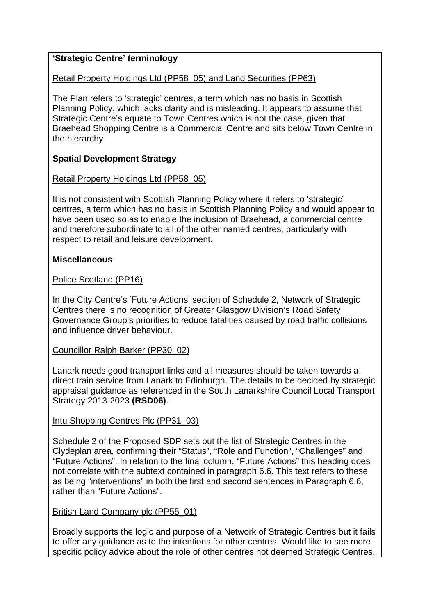# **'Strategic Centre' terminology**

## Retail Property Holdings Ltd (PP58\_05) and Land Securities (PP63)

The Plan refers to 'strategic' centres, a term which has no basis in Scottish Planning Policy, which lacks clarity and is misleading. It appears to assume that Strategic Centre's equate to Town Centres which is not the case, given that Braehead Shopping Centre is a Commercial Centre and sits below Town Centre in the hierarchy

# **Spatial Development Strategy**

# Retail Property Holdings Ltd (PP58\_05)

It is not consistent with Scottish Planning Policy where it refers to 'strategic' centres, a term which has no basis in Scottish Planning Policy and would appear to have been used so as to enable the inclusion of Braehead, a commercial centre and therefore subordinate to all of the other named centres, particularly with respect to retail and leisure development.

# **Miscellaneous**

## Police Scotland (PP16)

In the City Centre's 'Future Actions' section of Schedule 2, Network of Strategic Centres there is no recognition of Greater Glasgow Division's Road Safety Governance Group's priorities to reduce fatalities caused by road traffic collisions and influence driver behaviour.

# Councillor Ralph Barker (PP30\_02)

Lanark needs good transport links and all measures should be taken towards a direct train service from Lanark to Edinburgh. The details to be decided by strategic appraisal guidance as referenced in the South Lanarkshire Council Local Transport Strategy 2013-2023 **(RSD06)**.

# Intu Shopping Centres Plc (PP31\_03)

Schedule 2 of the Proposed SDP sets out the list of Strategic Centres in the Clydeplan area, confirming their "Status", "Role and Function", "Challenges" and "Future Actions". In relation to the final column, "Future Actions" this heading does not correlate with the subtext contained in paragraph 6.6. This text refers to these as being "interventions" in both the first and second sentences in Paragraph 6.6, rather than "Future Actions".

# British Land Company plc (PP55\_01)

Broadly supports the logic and purpose of a Network of Strategic Centres but it fails to offer any guidance as to the intentions for other centres. Would like to see more specific policy advice about the role of other centres not deemed Strategic Centres.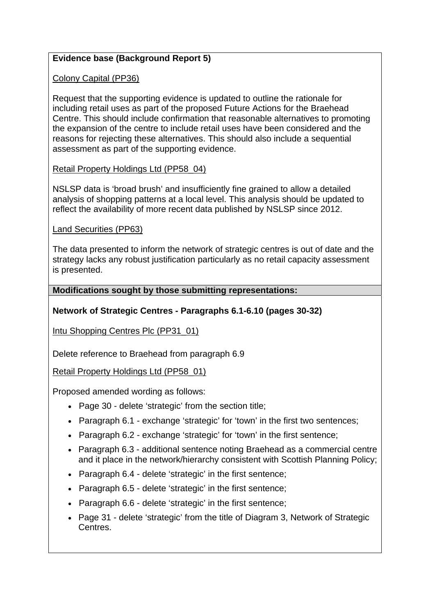# **Evidence base (Background Report 5)**

Colony Capital (PP36)

Request that the supporting evidence is updated to outline the rationale for including retail uses as part of the proposed Future Actions for the Braehead Centre. This should include confirmation that reasonable alternatives to promoting the expansion of the centre to include retail uses have been considered and the reasons for rejecting these alternatives. This should also include a sequential assessment as part of the supporting evidence.

## Retail Property Holdings Ltd (PP58\_04)

NSLSP data is 'broad brush' and insufficiently fine grained to allow a detailed analysis of shopping patterns at a local level. This analysis should be updated to reflect the availability of more recent data published by NSLSP since 2012.

## Land Securities (PP63)

The data presented to inform the network of strategic centres is out of date and the strategy lacks any robust justification particularly as no retail capacity assessment is presented.

## **Modifications sought by those submitting representations:**

# **Network of Strategic Centres - Paragraphs 6.1-6.10 (pages 30-32)**

Intu Shopping Centres Plc (PP31\_01)

Delete reference to Braehead from paragraph 6.9

Retail Property Holdings Ltd (PP58\_01)

Proposed amended wording as follows:

- Page 30 delete 'strategic' from the section title;
- Paragraph 6.1 exchange 'strategic' for 'town' in the first two sentences:
- Paragraph 6.2 exchange 'strategic' for 'town' in the first sentence;
- Paragraph 6.3 additional sentence noting Braehead as a commercial centre and it place in the network/hierarchy consistent with Scottish Planning Policy;
- Paragraph 6.4 delete 'strategic' in the first sentence;
- Paragraph 6.5 delete 'strategic' in the first sentence;
- Paragraph 6.6 delete 'strategic' in the first sentence;
- Page 31 delete 'strategic' from the title of Diagram 3, Network of Strategic Centres.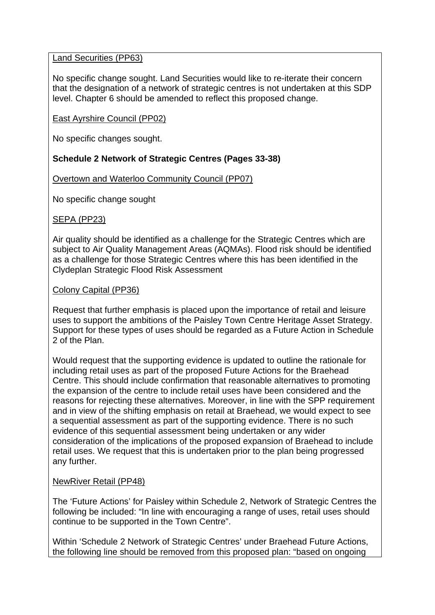## Land Securities (PP63)

No specific change sought. Land Securities would like to re-iterate their concern that the designation of a network of strategic centres is not undertaken at this SDP level. Chapter 6 should be amended to reflect this proposed change.

## East Ayrshire Council (PP02)

No specific changes sought.

## **Schedule 2 Network of Strategic Centres (Pages 33-38)**

Overtown and Waterloo Community Council (PP07)

No specific change sought

## SEPA (PP23)

Air quality should be identified as a challenge for the Strategic Centres which are subject to Air Quality Management Areas (AQMAs). Flood risk should be identified as a challenge for those Strategic Centres where this has been identified in the Clydeplan Strategic Flood Risk Assessment

#### Colony Capital (PP36)

Request that further emphasis is placed upon the importance of retail and leisure uses to support the ambitions of the Paisley Town Centre Heritage Asset Strategy. Support for these types of uses should be regarded as a Future Action in Schedule 2 of the Plan.

Would request that the supporting evidence is updated to outline the rationale for including retail uses as part of the proposed Future Actions for the Braehead Centre. This should include confirmation that reasonable alternatives to promoting the expansion of the centre to include retail uses have been considered and the reasons for rejecting these alternatives. Moreover, in line with the SPP requirement and in view of the shifting emphasis on retail at Braehead, we would expect to see a sequential assessment as part of the supporting evidence. There is no such evidence of this sequential assessment being undertaken or any wider consideration of the implications of the proposed expansion of Braehead to include retail uses. We request that this is undertaken prior to the plan being progressed any further.

## NewRiver Retail (PP48)

The 'Future Actions' for Paisley within Schedule 2, Network of Strategic Centres the following be included: "In line with encouraging a range of uses, retail uses should continue to be supported in the Town Centre".

Within 'Schedule 2 Network of Strategic Centres' under Braehead Future Actions, the following line should be removed from this proposed plan: "based on ongoing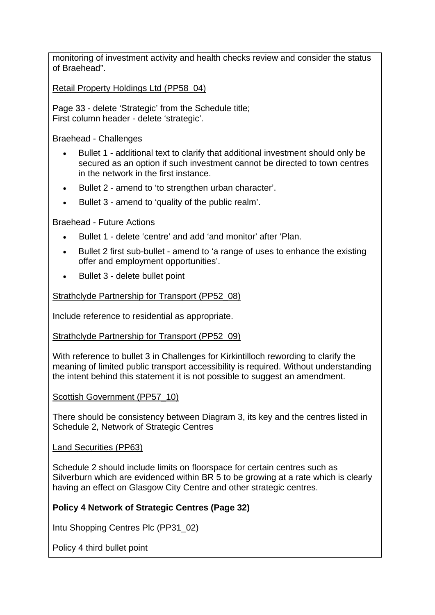monitoring of investment activity and health checks review and consider the status of Braehead".

Retail Property Holdings Ltd (PP58\_04)

Page 33 - delete 'Strategic' from the Schedule title; First column header - delete 'strategic'.

Braehead - Challenges

- Bullet 1 additional text to clarify that additional investment should only be secured as an option if such investment cannot be directed to town centres in the network in the first instance.
- Bullet 2 amend to 'to strengthen urban character'.
- Bullet 3 amend to 'quality of the public realm'.

Braehead - Future Actions

- Bullet 1 delete 'centre' and add 'and monitor' after 'Plan.
- Bullet 2 first sub-bullet amend to 'a range of uses to enhance the existing offer and employment opportunities'.
- Bullet 3 delete bullet point

Strathclyde Partnership for Transport (PP52\_08)

Include reference to residential as appropriate.

Strathclyde Partnership for Transport (PP52\_09)

With reference to bullet 3 in Challenges for Kirkintilloch rewording to clarify the meaning of limited public transport accessibility is required. Without understanding the intent behind this statement it is not possible to suggest an amendment.

## Scottish Government (PP57\_10)

There should be consistency between Diagram 3, its key and the centres listed in Schedule 2, Network of Strategic Centres

## Land Securities (PP63)

Schedule 2 should include limits on floorspace for certain centres such as Silverburn which are evidenced within BR 5 to be growing at a rate which is clearly having an effect on Glasgow City Centre and other strategic centres.

# **Policy 4 Network of Strategic Centres (Page 32)**

Intu Shopping Centres Plc (PP31\_02)

Policy 4 third bullet point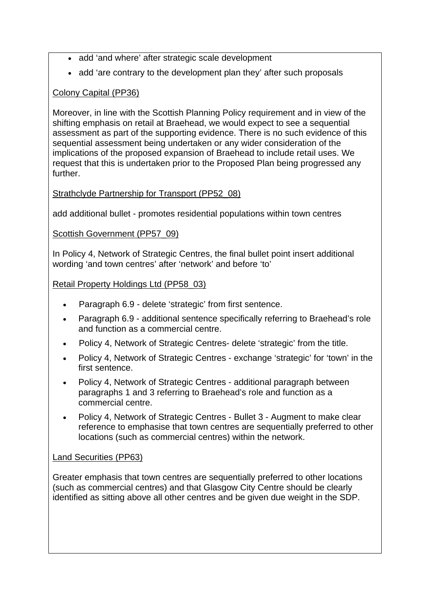- add 'and where' after strategic scale development
- add 'are contrary to the development plan they' after such proposals

# Colony Capital (PP36)

Moreover, in line with the Scottish Planning Policy requirement and in view of the shifting emphasis on retail at Braehead, we would expect to see a sequential assessment as part of the supporting evidence. There is no such evidence of this sequential assessment being undertaken or any wider consideration of the implications of the proposed expansion of Braehead to include retail uses. We request that this is undertaken prior to the Proposed Plan being progressed any further.

## Strathclyde Partnership for Transport (PP52\_08)

add additional bullet - promotes residential populations within town centres

Scottish Government (PP57\_09)

In Policy 4, Network of Strategic Centres, the final bullet point insert additional wording 'and town centres' after 'network' and before 'to'

## Retail Property Holdings Ltd (PP58\_03)

- Paragraph 6.9 delete 'strategic' from first sentence.
- Paragraph 6.9 additional sentence specifically referring to Braehead's role and function as a commercial centre.
- Policy 4, Network of Strategic Centres- delete 'strategic' from the title.
- Policy 4, Network of Strategic Centres exchange 'strategic' for 'town' in the first sentence.
- Policy 4, Network of Strategic Centres additional paragraph between paragraphs 1 and 3 referring to Braehead's role and function as a commercial centre.
- Policy 4, Network of Strategic Centres Bullet 3 Augment to make clear reference to emphasise that town centres are sequentially preferred to other locations (such as commercial centres) within the network.

# Land Securities (PP63)

Greater emphasis that town centres are sequentially preferred to other locations (such as commercial centres) and that Glasgow City Centre should be clearly identified as sitting above all other centres and be given due weight in the SDP.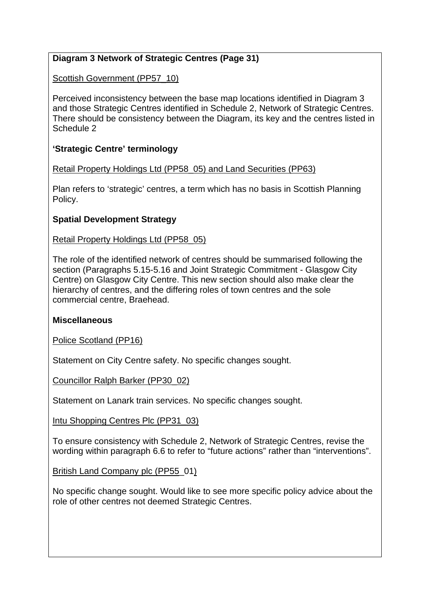# **Diagram 3 Network of Strategic Centres (Page 31)**

Scottish Government (PP57\_10)

Perceived inconsistency between the base map locations identified in Diagram 3 and those Strategic Centres identified in Schedule 2, Network of Strategic Centres. There should be consistency between the Diagram, its key and the centres listed in Schedule 2

# **'Strategic Centre' terminology**

Retail Property Holdings Ltd (PP58\_05) and Land Securities (PP63)

Plan refers to 'strategic' centres, a term which has no basis in Scottish Planning Policy.

# **Spatial Development Strategy**

Retail Property Holdings Ltd (PP58\_05)

The role of the identified network of centres should be summarised following the section (Paragraphs 5.15-5.16 and Joint Strategic Commitment - Glasgow City Centre) on Glasgow City Centre. This new section should also make clear the hierarchy of centres, and the differing roles of town centres and the sole commercial centre, Braehead.

## **Miscellaneous**

Police Scotland (PP16)

Statement on City Centre safety. No specific changes sought.

Councillor Ralph Barker (PP30\_02)

Statement on Lanark train services. No specific changes sought.

Intu Shopping Centres Plc (PP31\_03)

To ensure consistency with Schedule 2, Network of Strategic Centres, revise the wording within paragraph 6.6 to refer to "future actions" rather than "interventions".

British Land Company plc (PP55\_01)

No specific change sought. Would like to see more specific policy advice about the role of other centres not deemed Strategic Centres.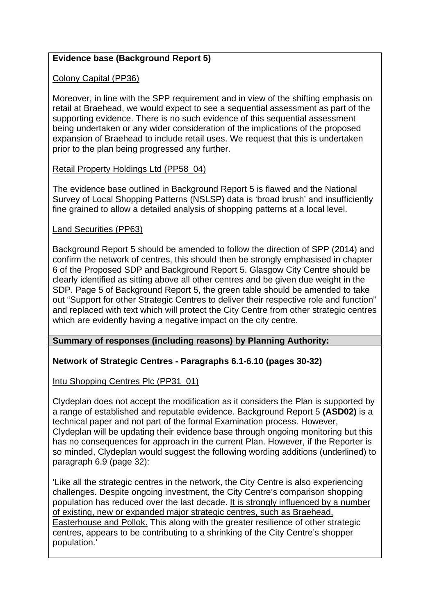# **Evidence base (Background Report 5)**

Colony Capital (PP36)

Moreover, in line with the SPP requirement and in view of the shifting emphasis on retail at Braehead, we would expect to see a sequential assessment as part of the supporting evidence. There is no such evidence of this sequential assessment being undertaken or any wider consideration of the implications of the proposed expansion of Braehead to include retail uses. We request that this is undertaken prior to the plan being progressed any further.

## Retail Property Holdings Ltd (PP58\_04)

The evidence base outlined in Background Report 5 is flawed and the National Survey of Local Shopping Patterns (NSLSP) data is 'broad brush' and insufficiently fine grained to allow a detailed analysis of shopping patterns at a local level.

## Land Securities (PP63)

Background Report 5 should be amended to follow the direction of SPP (2014) and confirm the network of centres, this should then be strongly emphasised in chapter 6 of the Proposed SDP and Background Report 5. Glasgow City Centre should be clearly identified as sitting above all other centres and be given due weight in the SDP. Page 5 of Background Report 5, the green table should be amended to take out "Support for other Strategic Centres to deliver their respective role and function" and replaced with text which will protect the City Centre from other strategic centres which are evidently having a negative impact on the city centre.

## **Summary of responses (including reasons) by Planning Authority:**

# **Network of Strategic Centres - Paragraphs 6.1-6.10 (pages 30-32)**

Intu Shopping Centres Plc (PP31\_01)

Clydeplan does not accept the modification as it considers the Plan is supported by a range of established and reputable evidence. Background Report 5 **(ASD02)** is a technical paper and not part of the formal Examination process. However, Clydeplan will be updating their evidence base through ongoing monitoring but this has no consequences for approach in the current Plan. However, if the Reporter is so minded, Clydeplan would suggest the following wording additions (underlined) to paragraph 6.9 (page 32):

'Like all the strategic centres in the network, the City Centre is also experiencing challenges. Despite ongoing investment, the City Centre's comparison shopping population has reduced over the last decade. It is strongly influenced by a number of existing, new or expanded major strategic centres, such as Braehead, Easterhouse and Pollok. This along with the greater resilience of other strategic centres, appears to be contributing to a shrinking of the City Centre's shopper population.'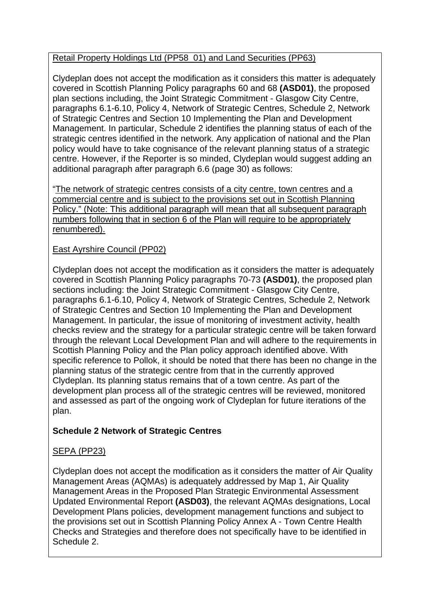# Retail Property Holdings Ltd (PP58\_01) and Land Securities (PP63)

Clydeplan does not accept the modification as it considers this matter is adequately covered in Scottish Planning Policy paragraphs 60 and 68 **(ASD01)**, the proposed plan sections including, the Joint Strategic Commitment - Glasgow City Centre, paragraphs 6.1-6.10, Policy 4, Network of Strategic Centres, Schedule 2, Network of Strategic Centres and Section 10 Implementing the Plan and Development Management. In particular, Schedule 2 identifies the planning status of each of the strategic centres identified in the network. Any application of national and the Plan policy would have to take cognisance of the relevant planning status of a strategic centre. However, if the Reporter is so minded, Clydeplan would suggest adding an additional paragraph after paragraph 6.6 (page 30) as follows:

"The network of strategic centres consists of a city centre, town centres and a commercial centre and is subject to the provisions set out in Scottish Planning Policy." (Note: This additional paragraph will mean that all subsequent paragraph numbers following that in section 6 of the Plan will require to be appropriately renumbered).

# East Ayrshire Council (PP02)

Clydeplan does not accept the modification as it considers the matter is adequately covered in Scottish Planning Policy paragraphs 70-73 **(ASD01)**, the proposed plan sections including: the Joint Strategic Commitment - Glasgow City Centre, paragraphs 6.1-6.10, Policy 4, Network of Strategic Centres, Schedule 2, Network of Strategic Centres and Section 10 Implementing the Plan and Development Management. In particular, the issue of monitoring of investment activity, health checks review and the strategy for a particular strategic centre will be taken forward through the relevant Local Development Plan and will adhere to the requirements in Scottish Planning Policy and the Plan policy approach identified above. With specific reference to Pollok, it should be noted that there has been no change in the planning status of the strategic centre from that in the currently approved Clydeplan. Its planning status remains that of a town centre. As part of the development plan process all of the strategic centres will be reviewed, monitored and assessed as part of the ongoing work of Clydeplan for future iterations of the plan.

# **Schedule 2 Network of Strategic Centres**

# SEPA (PP23)

Clydeplan does not accept the modification as it considers the matter of Air Quality Management Areas (AQMAs) is adequately addressed by Map 1, Air Quality Management Areas in the Proposed Plan Strategic Environmental Assessment Updated Environmental Report **(ASD03)**, the relevant AQMAs designations, Local Development Plans policies, development management functions and subject to the provisions set out in Scottish Planning Policy Annex A - Town Centre Health Checks and Strategies and therefore does not specifically have to be identified in Schedule 2.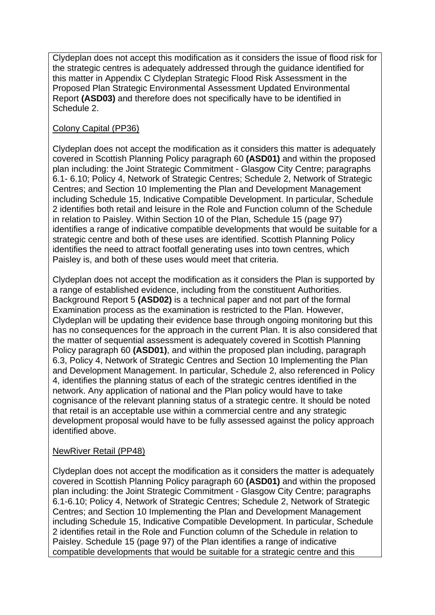Clydeplan does not accept this modification as it considers the issue of flood risk for the strategic centres is adequately addressed through the guidance identified for this matter in Appendix C Clydeplan Strategic Flood Risk Assessment in the Proposed Plan Strategic Environmental Assessment Updated Environmental Report **(ASD03)** and therefore does not specifically have to be identified in Schedule 2.

# Colony Capital (PP36)

Clydeplan does not accept the modification as it considers this matter is adequately covered in Scottish Planning Policy paragraph 60 **(ASD01)** and within the proposed plan including: the Joint Strategic Commitment - Glasgow City Centre; paragraphs 6.1- 6.10; Policy 4, Network of Strategic Centres; Schedule 2, Network of Strategic Centres; and Section 10 Implementing the Plan and Development Management including Schedule 15, Indicative Compatible Development. In particular, Schedule 2 identifies both retail and leisure in the Role and Function column of the Schedule in relation to Paisley. Within Section 10 of the Plan, Schedule 15 (page 97) identifies a range of indicative compatible developments that would be suitable for a strategic centre and both of these uses are identified. Scottish Planning Policy identifies the need to attract footfall generating uses into town centres, which Paisley is, and both of these uses would meet that criteria.

Clydeplan does not accept the modification as it considers the Plan is supported by a range of established evidence, including from the constituent Authorities. Background Report 5 **(ASD02)** is a technical paper and not part of the formal Examination process as the examination is restricted to the Plan. However, Clydeplan will be updating their evidence base through ongoing monitoring but this has no consequences for the approach in the current Plan. It is also considered that the matter of sequential assessment is adequately covered in Scottish Planning Policy paragraph 60 **(ASD01)**, and within the proposed plan including, paragraph 6.3, Policy 4, Network of Strategic Centres and Section 10 Implementing the Plan and Development Management. In particular, Schedule 2, also referenced in Policy 4, identifies the planning status of each of the strategic centres identified in the network. Any application of national and the Plan policy would have to take cognisance of the relevant planning status of a strategic centre. It should be noted that retail is an acceptable use within a commercial centre and any strategic development proposal would have to be fully assessed against the policy approach identified above.

# NewRiver Retail (PP48)

Clydeplan does not accept the modification as it considers the matter is adequately covered in Scottish Planning Policy paragraph 60 **(ASD01)** and within the proposed plan including: the Joint Strategic Commitment - Glasgow City Centre; paragraphs 6.1-6.10; Policy 4, Network of Strategic Centres; Schedule 2, Network of Strategic Centres; and Section 10 Implementing the Plan and Development Management including Schedule 15, Indicative Compatible Development. In particular, Schedule 2 identifies retail in the Role and Function column of the Schedule in relation to Paisley. Schedule 15 (page 97) of the Plan identifies a range of indicative compatible developments that would be suitable for a strategic centre and this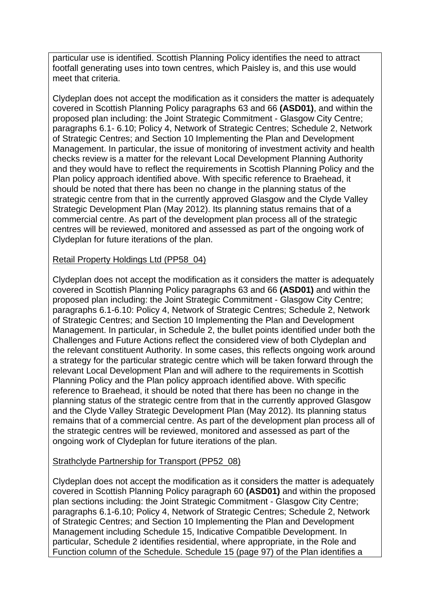particular use is identified. Scottish Planning Policy identifies the need to attract footfall generating uses into town centres, which Paisley is, and this use would meet that criteria.

Clydeplan does not accept the modification as it considers the matter is adequately covered in Scottish Planning Policy paragraphs 63 and 66 **(ASD01)**, and within the proposed plan including: the Joint Strategic Commitment - Glasgow City Centre; paragraphs 6.1- 6.10; Policy 4, Network of Strategic Centres; Schedule 2, Network of Strategic Centres; and Section 10 Implementing the Plan and Development Management. In particular, the issue of monitoring of investment activity and health checks review is a matter for the relevant Local Development Planning Authority and they would have to reflect the requirements in Scottish Planning Policy and the Plan policy approach identified above. With specific reference to Braehead, it should be noted that there has been no change in the planning status of the strategic centre from that in the currently approved Glasgow and the Clyde Valley Strategic Development Plan (May 2012). Its planning status remains that of a commercial centre. As part of the development plan process all of the strategic centres will be reviewed, monitored and assessed as part of the ongoing work of Clydeplan for future iterations of the plan.

## Retail Property Holdings Ltd (PP58\_04)

Clydeplan does not accept the modification as it considers the matter is adequately covered in Scottish Planning Policy paragraphs 63 and 66 **(ASD01)** and within the proposed plan including: the Joint Strategic Commitment - Glasgow City Centre; paragraphs 6.1-6.10: Policy 4, Network of Strategic Centres; Schedule 2, Network of Strategic Centres; and Section 10 Implementing the Plan and Development Management. In particular, in Schedule 2, the bullet points identified under both the Challenges and Future Actions reflect the considered view of both Clydeplan and the relevant constituent Authority. In some cases, this reflects ongoing work around a strategy for the particular strategic centre which will be taken forward through the relevant Local Development Plan and will adhere to the requirements in Scottish Planning Policy and the Plan policy approach identified above. With specific reference to Braehead, it should be noted that there has been no change in the planning status of the strategic centre from that in the currently approved Glasgow and the Clyde Valley Strategic Development Plan (May 2012). Its planning status remains that of a commercial centre. As part of the development plan process all of the strategic centres will be reviewed, monitored and assessed as part of the ongoing work of Clydeplan for future iterations of the plan.

## Strathclyde Partnership for Transport (PP52\_08)

Clydeplan does not accept the modification as it considers the matter is adequately covered in Scottish Planning Policy paragraph 60 **(ASD01)** and within the proposed plan sections including: the Joint Strategic Commitment - Glasgow City Centre; paragraphs 6.1-6.10; Policy 4, Network of Strategic Centres; Schedule 2, Network of Strategic Centres; and Section 10 Implementing the Plan and Development Management including Schedule 15, Indicative Compatible Development. In particular, Schedule 2 identifies residential, where appropriate, in the Role and Function column of the Schedule. Schedule 15 (page 97) of the Plan identifies a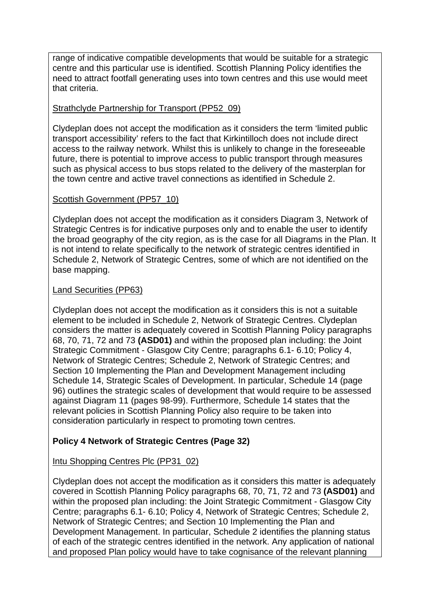range of indicative compatible developments that would be suitable for a strategic centre and this particular use is identified. Scottish Planning Policy identifies the need to attract footfall generating uses into town centres and this use would meet that criteria.

## Strathclyde Partnership for Transport (PP52\_09)

Clydeplan does not accept the modification as it considers the term 'limited public transport accessibility' refers to the fact that Kirkintilloch does not include direct access to the railway network. Whilst this is unlikely to change in the foreseeable future, there is potential to improve access to public transport through measures such as physical access to bus stops related to the delivery of the masterplan for the town centre and active travel connections as identified in Schedule 2.

## Scottish Government (PP57\_10)

Clydeplan does not accept the modification as it considers Diagram 3, Network of Strategic Centres is for indicative purposes only and to enable the user to identify the broad geography of the city region, as is the case for all Diagrams in the Plan. It is not intend to relate specifically to the network of strategic centres identified in Schedule 2, Network of Strategic Centres, some of which are not identified on the base mapping.

## Land Securities (PP63)

Clydeplan does not accept the modification as it considers this is not a suitable element to be included in Schedule 2, Network of Strategic Centres. Clydeplan considers the matter is adequately covered in Scottish Planning Policy paragraphs 68, 70, 71, 72 and 73 **(ASD01)** and within the proposed plan including: the Joint Strategic Commitment - Glasgow City Centre; paragraphs 6.1- 6.10; Policy 4, Network of Strategic Centres; Schedule 2, Network of Strategic Centres; and Section 10 Implementing the Plan and Development Management including Schedule 14, Strategic Scales of Development. In particular, Schedule 14 (page 96) outlines the strategic scales of development that would require to be assessed against Diagram 11 (pages 98-99). Furthermore, Schedule 14 states that the relevant policies in Scottish Planning Policy also require to be taken into consideration particularly in respect to promoting town centres.

# **Policy 4 Network of Strategic Centres (Page 32)**

## Intu Shopping Centres Plc (PP31\_02)

Clydeplan does not accept the modification as it considers this matter is adequately covered in Scottish Planning Policy paragraphs 68, 70, 71, 72 and 73 **(ASD01)** and within the proposed plan including: the Joint Strategic Commitment - Glasgow City Centre; paragraphs 6.1- 6.10; Policy 4, Network of Strategic Centres; Schedule 2, Network of Strategic Centres; and Section 10 Implementing the Plan and Development Management. In particular, Schedule 2 identifies the planning status of each of the strategic centres identified in the network. Any application of national and proposed Plan policy would have to take cognisance of the relevant planning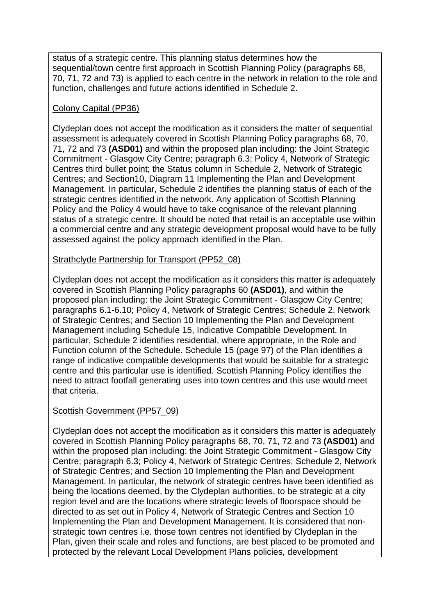status of a strategic centre. This planning status determines how the sequential/town centre first approach in Scottish Planning Policy (paragraphs 68, 70, 71, 72 and 73) is applied to each centre in the network in relation to the role and function, challenges and future actions identified in Schedule 2.

## Colony Capital (PP36)

Clydeplan does not accept the modification as it considers the matter of sequential assessment is adequately covered in Scottish Planning Policy paragraphs 68, 70, 71, 72 and 73 **(ASD01)** and within the proposed plan including: the Joint Strategic Commitment - Glasgow City Centre; paragraph 6.3; Policy 4, Network of Strategic Centres third bullet point; the Status column in Schedule 2, Network of Strategic Centres; and Section10, Diagram 11 Implementing the Plan and Development Management. In particular, Schedule 2 identifies the planning status of each of the strategic centres identified in the network. Any application of Scottish Planning Policy and the Policy 4 would have to take cognisance of the relevant planning status of a strategic centre. It should be noted that retail is an acceptable use within a commercial centre and any strategic development proposal would have to be fully assessed against the policy approach identified in the Plan.

## Strathclyde Partnership for Transport (PP52\_08)

Clydeplan does not accept the modification as it considers this matter is adequately covered in Scottish Planning Policy paragraphs 60 **(ASD01)**, and within the proposed plan including: the Joint Strategic Commitment - Glasgow City Centre; paragraphs 6.1-6.10; Policy 4, Network of Strategic Centres; Schedule 2, Network of Strategic Centres; and Section 10 Implementing the Plan and Development Management including Schedule 15, Indicative Compatible Development. In particular, Schedule 2 identifies residential, where appropriate, in the Role and Function column of the Schedule. Schedule 15 (page 97) of the Plan identifies a range of indicative compatible developments that would be suitable for a strategic centre and this particular use is identified. Scottish Planning Policy identifies the need to attract footfall generating uses into town centres and this use would meet that criteria.

## Scottish Government (PP57\_09)

Clydeplan does not accept the modification as it considers this matter is adequately covered in Scottish Planning Policy paragraphs 68, 70, 71, 72 and 73 **(ASD01)** and within the proposed plan including: the Joint Strategic Commitment - Glasgow City Centre; paragraph 6.3; Policy 4, Network of Strategic Centres; Schedule 2, Network of Strategic Centres; and Section 10 Implementing the Plan and Development Management. In particular, the network of strategic centres have been identified as being the locations deemed, by the Clydeplan authorities, to be strategic at a city region level and are the locations where strategic levels of floorspace should be directed to as set out in Policy 4, Network of Strategic Centres and Section 10 Implementing the Plan and Development Management. It is considered that nonstrategic town centres i.e. those town centres not identified by Clydeplan in the Plan, given their scale and roles and functions, are best placed to be promoted and protected by the relevant Local Development Plans policies, development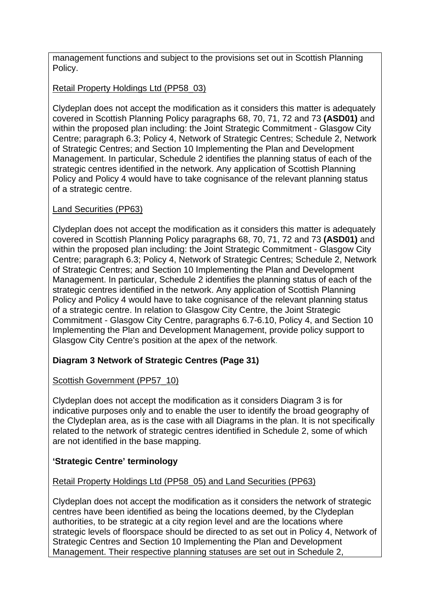management functions and subject to the provisions set out in Scottish Planning Policy.

# Retail Property Holdings Ltd (PP58\_03)

Clydeplan does not accept the modification as it considers this matter is adequately covered in Scottish Planning Policy paragraphs 68, 70, 71, 72 and 73 **(ASD01)** and within the proposed plan including: the Joint Strategic Commitment - Glasgow City Centre; paragraph 6.3; Policy 4, Network of Strategic Centres; Schedule 2, Network of Strategic Centres; and Section 10 Implementing the Plan and Development Management. In particular, Schedule 2 identifies the planning status of each of the strategic centres identified in the network. Any application of Scottish Planning Policy and Policy 4 would have to take cognisance of the relevant planning status of a strategic centre.

# Land Securities (PP63)

Clydeplan does not accept the modification as it considers this matter is adequately covered in Scottish Planning Policy paragraphs 68, 70, 71, 72 and 73 **(ASD01)** and within the proposed plan including: the Joint Strategic Commitment - Glasgow City Centre; paragraph 6.3; Policy 4, Network of Strategic Centres; Schedule 2, Network of Strategic Centres; and Section 10 Implementing the Plan and Development Management. In particular, Schedule 2 identifies the planning status of each of the strategic centres identified in the network. Any application of Scottish Planning Policy and Policy 4 would have to take cognisance of the relevant planning status of a strategic centre. In relation to Glasgow City Centre, the Joint Strategic Commitment - Glasgow City Centre, paragraphs 6.7-6.10, Policy 4, and Section 10 Implementing the Plan and Development Management, provide policy support to Glasgow City Centre's position at the apex of the network.

# **Diagram 3 Network of Strategic Centres (Page 31)**

# Scottish Government (PP57\_10)

Clydeplan does not accept the modification as it considers Diagram 3 is for indicative purposes only and to enable the user to identify the broad geography of the Clydeplan area, as is the case with all Diagrams in the plan. It is not specifically related to the network of strategic centres identified in Schedule 2, some of which are not identified in the base mapping.

# **'Strategic Centre' terminology**

# Retail Property Holdings Ltd (PP58\_05) and Land Securities (PP63)

Clydeplan does not accept the modification as it considers the network of strategic centres have been identified as being the locations deemed, by the Clydeplan authorities, to be strategic at a city region level and are the locations where strategic levels of floorspace should be directed to as set out in Policy 4, Network of Strategic Centres and Section 10 Implementing the Plan and Development Management. Their respective planning statuses are set out in Schedule 2,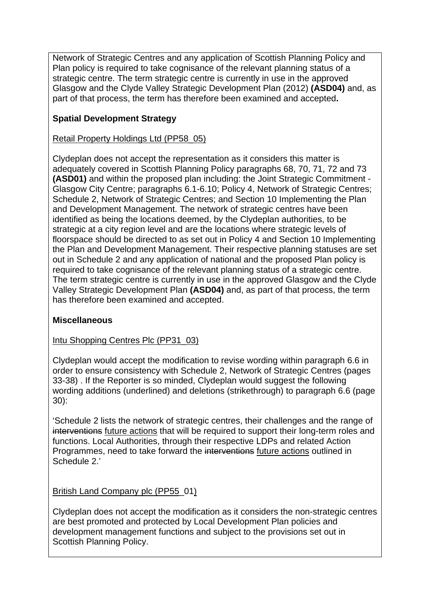Network of Strategic Centres and any application of Scottish Planning Policy and Plan policy is required to take cognisance of the relevant planning status of a strategic centre. The term strategic centre is currently in use in the approved Glasgow and the Clyde Valley Strategic Development Plan (2012) **(ASD04)** and, as part of that process, the term has therefore been examined and accepted**.**

# **Spatial Development Strategy**

Retail Property Holdings Ltd (PP58\_05)

Clydeplan does not accept the representation as it considers this matter is adequately covered in Scottish Planning Policy paragraphs 68, 70, 71, 72 and 73 **(ASD01)** and within the proposed plan including: the Joint Strategic Commitment - Glasgow City Centre; paragraphs 6.1-6.10; Policy 4, Network of Strategic Centres; Schedule 2, Network of Strategic Centres; and Section 10 Implementing the Plan and Development Management. The network of strategic centres have been identified as being the locations deemed, by the Clydeplan authorities, to be strategic at a city region level and are the locations where strategic levels of floorspace should be directed to as set out in Policy 4 and Section 10 Implementing the Plan and Development Management. Their respective planning statuses are set out in Schedule 2 and any application of national and the proposed Plan policy is required to take cognisance of the relevant planning status of a strategic centre. The term strategic centre is currently in use in the approved Glasgow and the Clyde Valley Strategic Development Plan **(ASD04)** and, as part of that process, the term has therefore been examined and accepted.

# **Miscellaneous**

## Intu Shopping Centres Plc (PP31\_03)

Clydeplan would accept the modification to revise wording within paragraph 6.6 in order to ensure consistency with Schedule 2, Network of Strategic Centres (pages 33-38) . If the Reporter is so minded, Clydeplan would suggest the following wording additions (underlined) and deletions (strikethrough) to paragraph 6.6 (page 30):

'Schedule 2 lists the network of strategic centres, their challenges and the range of interventions future actions that will be required to support their long-term roles and functions. Local Authorities, through their respective LDPs and related Action Programmes, need to take forward the interventions future actions outlined in Schedule 2.'

# British Land Company plc (PP55\_01)

Clydeplan does not accept the modification as it considers the non-strategic centres are best promoted and protected by Local Development Plan policies and development management functions and subject to the provisions set out in Scottish Planning Policy.